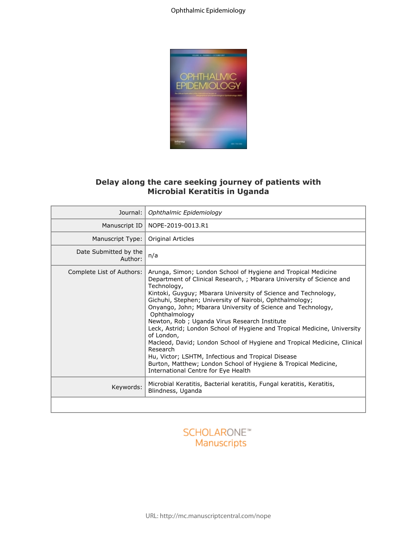

## **Delay along the care seeking journey of patients with Microbial Keratitis in Uganda**

|                                  | Delay along the care seeking journey of patients with<br><b>Microbial Keratitis in Uganda</b>                                                                                                                                                                                                                                                                                                                                                                                                                                                                                                                                                                                                                                                                        |
|----------------------------------|----------------------------------------------------------------------------------------------------------------------------------------------------------------------------------------------------------------------------------------------------------------------------------------------------------------------------------------------------------------------------------------------------------------------------------------------------------------------------------------------------------------------------------------------------------------------------------------------------------------------------------------------------------------------------------------------------------------------------------------------------------------------|
| Journal:                         | Ophthalmic Epidemiology                                                                                                                                                                                                                                                                                                                                                                                                                                                                                                                                                                                                                                                                                                                                              |
|                                  | Manuscript ID   NOPE-2019-0013.R1                                                                                                                                                                                                                                                                                                                                                                                                                                                                                                                                                                                                                                                                                                                                    |
| Manuscript Type:                 | Original Articles                                                                                                                                                                                                                                                                                                                                                                                                                                                                                                                                                                                                                                                                                                                                                    |
| Date Submitted by the<br>Author: | n/a                                                                                                                                                                                                                                                                                                                                                                                                                                                                                                                                                                                                                                                                                                                                                                  |
| Complete List of Authors:        | Arunga, Simon; London School of Hygiene and Tropical Medicine<br>Department of Clinical Research, ; Mbarara University of Science and<br>Technology,<br>Kintoki, Guyguy; Mbarara University of Science and Technology,<br>Gichuhi, Stephen; University of Nairobi, Ophthalmology;<br>Onyango, John; Mbarara University of Science and Technology,<br>Ophthalmology<br>Newton, Rob ; Uganda Virus Research Institute<br>Leck, Astrid; London School of Hygiene and Tropical Medicine, University<br>of London,<br>Macleod, David; London School of Hygiene and Tropical Medicine, Clinical<br>Research<br>Hu, Victor; LSHTM, Infectious and Tropical Disease<br>Burton, Matthew; London School of Hygiene & Tropical Medicine,<br>International Centre for Eye Health |
| Keywords:                        | Microbial Keratitis, Bacterial keratitis, Fungal keratitis, Keratitis,<br>Blindness, Uganda                                                                                                                                                                                                                                                                                                                                                                                                                                                                                                                                                                                                                                                                          |
|                                  |                                                                                                                                                                                                                                                                                                                                                                                                                                                                                                                                                                                                                                                                                                                                                                      |

# **SCHOLARONE™** Manuscripts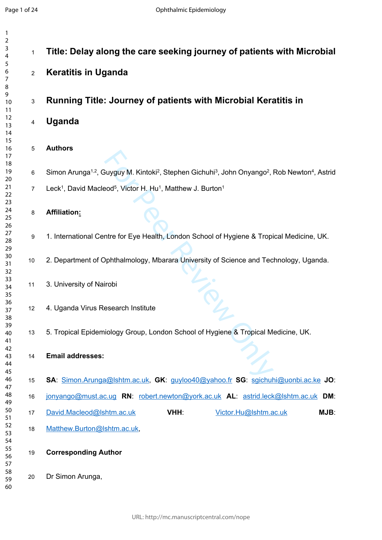$\mathbf{1}$ 

| 1                    |                |                                                                                                                                                            |
|----------------------|----------------|------------------------------------------------------------------------------------------------------------------------------------------------------------|
| 2<br>3<br>4          | $\mathbf{1}$   | Title: Delay along the care seeking journey of patients with Microbial                                                                                     |
| 5<br>6<br>7          | $\overline{2}$ | <b>Keratitis in Uganda</b>                                                                                                                                 |
| 8<br>9<br>10<br>11   | $\mathbf{3}$   | <b>Running Title: Journey of patients with Microbial Keratitis in</b>                                                                                      |
| 12<br>13<br>14       | 4              | <b>Uganda</b>                                                                                                                                              |
| 15<br>16<br>17<br>18 | $\sqrt{5}$     | <b>Authors</b>                                                                                                                                             |
| 19                   | 6              | Simon Arunga <sup>1,2</sup> , Guyguy M. Kintoki <sup>2</sup> , Stephen Gichuhi <sup>3</sup> , John Onyango <sup>2</sup> , Rob Newton <sup>4</sup> , Astrid |
| 20<br>21<br>22       | $\overline{7}$ | Leck <sup>1</sup> , David Macleod <sup>5</sup> , Victor H. Hu <sup>1</sup> , Matthew J. Burton <sup>1</sup>                                                |
| 23<br>24<br>25       | 8              | Affiliation:                                                                                                                                               |
| 26<br>27<br>28       | 9              | 1. International Centre for Eye Health, London School of Hygiene & Tropical Medicine, UK.                                                                  |
| 29<br>30<br>31<br>32 | 10             | 2. Department of Ophthalmology, Mbarara University of Science and Technology, Uganda.                                                                      |
| 33<br>34<br>35       | 11             | 3. University of Nairobi                                                                                                                                   |
| 36<br>37<br>38       | 12             | 4. Uganda Virus Research Institute                                                                                                                         |
| 39<br>40<br>41       | 13             | 5. Tropical Epidemiology Group, London School of Hygiene & Tropical Medicine, UK.                                                                          |
| 42<br>43<br>44       | 14             | <b>Email addresses:</b>                                                                                                                                    |
| 45<br>46<br>47       | 15             | SA: Simon.Arunga@lshtm.ac.uk, GK: guyloo40@yahoo.fr SG: sgichuhi@uonbi.ac.ke JO:                                                                           |
| 48<br>49             | 16             | jonyango@must.ac.ug RN: robert.newton@york.ac.uk AL: astrid.leck@lshtm.ac.uk DM:                                                                           |
| 50<br>51             | 17             | VHH:<br>David.Macleod@lshtm.ac.uk<br>Victor.Hu@Ishtm.ac.uk<br>MJB:                                                                                         |
| 52<br>53             | 18             | Matthew.Burton@Ishtm.ac.uk,                                                                                                                                |
| 54<br>55<br>56<br>57 | 19             | <b>Corresponding Author</b>                                                                                                                                |
| 58<br>59<br>60       | 20             | Dr Simon Arunga,                                                                                                                                           |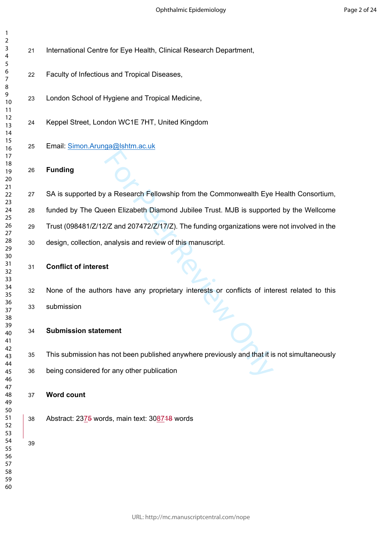- International Centre for Eye Health, Clinical Research Department,
- Faculty of Infectious and Tropical Diseases,
- London School of Hygiene and Tropical Medicine,
- Keppel Street, London WC1E 7HT, United Kingdom
- Email: [Simon.Arunga@lshtm.ac.uk](mailto:Simon.Arunga@lshtm.ac.uk)
- **Funding**

The Research Fellowship from the Commonwealth Eye<br>
For Peen Elizabeth Diamond Jubilee Trust. MJB is support<br>
For Peen Elizabeth Diamond Jubilee Trust. MJB is support<br>
For Peen and 207472/2/17/2). The funding organizations 27 SA is supported by a Research Fellowship from the Commonwealth Eye Health Consortium, funded by The Queen Elizabeth Diamond Jubilee Trust. MJB is supported by the Wellcome Trust (098481/Z/12/Z and 207472/Z/17/Z). The funding organizations were not involved in the design, collection, analysis and review of this manuscript.

- **Conflict of interest**
	- None of the authors have any proprietary interests or conflicts of interest related to this submission
- **Submission statement**
- This submission has not been published anywhere previously and that it is not simultaneously
- being considered for any other publication
- **Word count**
- Abstract: 2375 words, main text: 308718 words

- 
- 
-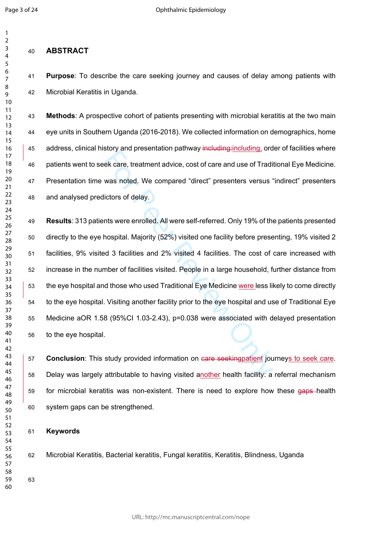$\mathbf{1}$  $\overline{2}$ 

### $\overline{7}$

## **ABSTRACT**

 **Purpose**: To describe the care seeking journey and causes of delay among patients with Microbial Keratitis in Uganda.

 **Methods**: A prospective cohort of patients presenting with microbial keratitis at the two main eye units in Southern Uganda (2016-2018). We collected information on demographics, home 45 address, clinical history and presentation pathway including: including, order of facilities where patients went to seek care, treatment advice, cost of care and use of Traditional Eye Medicine. Presentation time was noted. We compared "direct" presenters versus "indirect" presenters and analysed predictors of delay.

ek care, treatment advice, cost of care and use of Traditions net ek care, treatment advice, cost of care and use of Traditions of delay.<br>
Interview of delay.<br>
Ints were enrolled. All were self-referred. Only 19% of the mo **Results**: 313 patients were enrolled. All were self-referred. Only 19% of the patients presented directly to the eye hospital. Majority (52%) visited one facility before presenting, 19% visited 2 facilities, 9% visited 3 facilities and 2% visited 4 facilities. The cost of care increased with increase in the number of facilities visited. People in a large household, further distance from the eye hospital and those who used Traditional Eye Medicine were less likely to come directly to the eye hospital. Visiting another facility prior to the eye hospital and use of Traditional Eye Medicine aOR 1.58 (95%CI 1.03-2.43), p=0.038 were associated with delayed presentation to the eye hospital.

 **Conclusion**: This study provided information on care seekingpatient journeys to seek care. Delay was largely attributable to having visited another health facility: a referral mechanism 59 for microbial keratitis was non-existent. There is need to explore how these gaps-health system gaps can be strengthened.

### **Keywords**

Microbial Keratitis, Bacterial keratitis, Fungal keratitis, Keratitis, Blindness, Uganda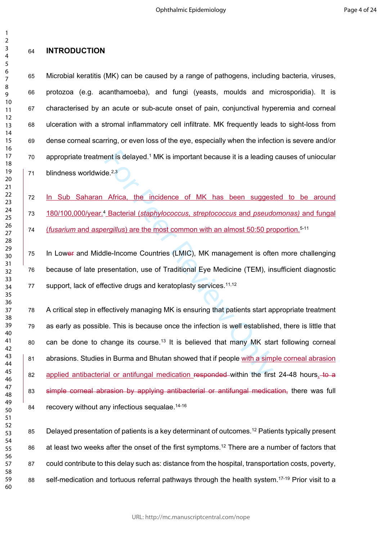## **INTRODUCTION**

 Microbial keratitis (MK) can be caused by a range of pathogens, including bacteria, viruses, protozoa (e.g. acanthamoeba), and fungi (yeasts, moulds and microsporidia). It is characterised by an acute or sub-acute onset of pain, conjunctival hyperemia and corneal ulceration with a stromal inflammatory cell infiltrate. MK frequently leads to sight-loss from dense corneal scarring, or even loss of the eye, especially when the infection is severe and/or 70 appropriate treatment is delayed.<sup>1</sup> MK is important because it is a leading causes of uniocular blindness worldwide.2,3

72 In Sub Saharan Africa, the incidence of MK has been suggested to be around 73 180/100,000/year.<sup>4</sup> Bacterial (staphylococcus, streptococcus and pseudomonas) and fungal (*fusarium* and *aspergillus*) are the most common with an almost 50:50 proportion.5-11

75 In Lower and Middle-Income Countries (LMIC), MK management is often more challenging because of late presentation, use of Traditional Eye Medicine (TEM), insufficient diagnostic 77 support, lack of effective drugs and keratoplasty services.<sup>11,12</sup>

ent is delayed.<sup>1</sup> MK is important because it is a leading<br>
Rec<sup>2,3</sup><br>
Africa, the incidence of MK has been sugges<br>
<sup>9</sup> Bacterial (*staphylococcus, streptococcus* and *pseudengillus*) are the most common with an almost 50:5 A critical step in effectively managing MK is ensuring that patients start appropriate treatment as early as possible. This is because once the infection is well established, there is little that 80 can be done to change its course.<sup>13</sup> It is believed that many MK start following corneal abrasions. Studies in Burma and Bhutan showed that if people with a simple corneal abrasion 82 applied antibacterial or antifungal medication responded within the first 24-48 hours, to a 83 simple corneal abrasion by applying antibacterial or antifungal medication, there was full 84 recovery without any infectious sequalae.<sup>14-16</sup>

85 Delayed presentation of patients is a key determinant of outcomes.<sup>12</sup> Patients typically present 86 at least two weeks after the onset of the first symptoms.<sup>12</sup> There are a number of factors that could contribute to this delay such as: distance from the hospital, transportation costs, poverty, 88 self-medication and tortuous referral pathways through the health system.<sup>17-19</sup> Prior visit to a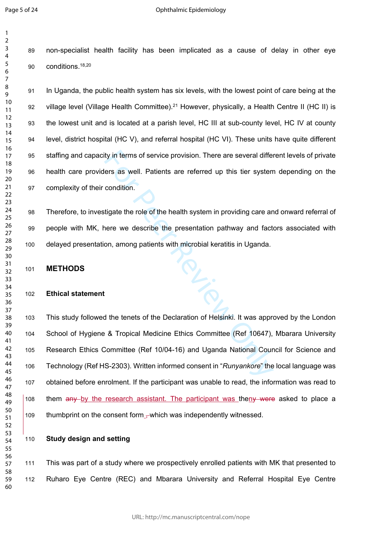$\mathbf{1}$  $\overline{2}$ 

 non-specialist health facility has been implicated as a cause of delay in other eye conditions.18,20

 In Uganda, the public health system has six levels, with the lowest point of care being at the 92 village level (Village Health Committee).<sup>21</sup> However, physically, a Health Centre II (HC II) is the lowest unit and is located at a parish level, HC III at sub-county level, HC IV at county level, district hospital (HC V), and referral hospital (HC VI). These units have quite different staffing and capacity in terms of service provision. There are several different levels of private health care providers as well. Patients are referred up this tier system depending on the complexity of their condition.

 Therefore, to investigate the role of the health system in providing care and onward referral of people with MK, here we describe the presentation pathway and factors associated with delayed presentation, among patients with microbial keratitis in Uganda.

**METHODS**

### **Ethical statement**

ty in terms of service provision. There are several different as well. Patients are referred up this tier system<br>condition.<br>tigate the role of the health system in providing care are<br>nere we describe the presentation pathw This study followed the tenets of the Declaration of Helsinki. It was approved by the London School of Hygiene & Tropical Medicine Ethics Committee (Ref 10647), Mbarara University Research Ethics Committee (Ref 10/04-16) and Uganda National Council for Science and Technology (Ref HS-2303). Written informed consent in "*Runyankore*" the local language was obtained before enrolment. If the participant was unable to read, the information was read to 108 them any by the research assistant. The participant was theny were asked to place a 109 thumbprint on the consent form – which was independently witnessed.

**Study design and setting**

 This was part of a study where we prospectively enrolled patients with MK that presented to Ruharo Eye Centre (REC) and Mbarara University and Referral Hospital Eye Centre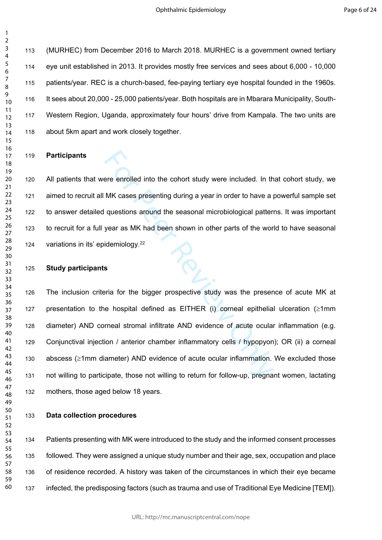(MURHEC) from December 2016 to March 2018. MURHEC is a government owned tertiary eye unit established in 2013. It provides mostly free services and sees about 6,000 - 10,000 patients/year. REC is a church-based, fee-paying tertiary eye hospital founded in the 1960s. It sees about 20,000 - 25,000 patients/year. Both hospitals are in Mbarara Municipality, South- Western Region, Uganda, approximately four hours' drive from Kampala. The two units are about 5km apart and work closely together.

### **Participants**

 All patients that were enrolled into the cohort study were included. In that cohort study, we aimed to recruit all MK cases presenting during a year in order to have a powerful sample set to answer detailed questions around the seasonal microbiological patterns. It was important to recruit for a full year as MK had been shown in other parts of the world to have seasonal variations in its' epidemiology.<sup>22</sup>

#### **Study participants**

ere enrolled into the cohort study were included. In the MK cases presenting during a year in order to have a questions around the seasonal microbiological patter<br>year as MK had been shown in other parts of the worldemiolo The inclusion criteria for the bigger prospective study was the presence of acute MK at 127 presentation to the hospital defined as EITHER (i) corneal epithelial ulceration  $( \geq 1$ mm diameter) AND corneal stromal infiltrate AND evidence of acute ocular inflammation (e.g. Conjunctival injection / anterior chamber inflammatory cells / hypopyon); OR (ii) a corneal abscess ( 1mm diameter) AND evidence of acute ocular inflammation. We excluded those not willing to participate, those not willing to return for follow-up, pregnant women, lactating mothers, those aged below 18 years.

**Data collection procedures**

 Patients presenting with MK were introduced to the study and the informed consent processes followed. They were assigned a unique study number and their age, sex, occupation and place of residence recorded. A history was taken of the circumstances in which their eye became infected, the predisposing factors (such as trauma and use of Traditional Eye Medicine [TEM]).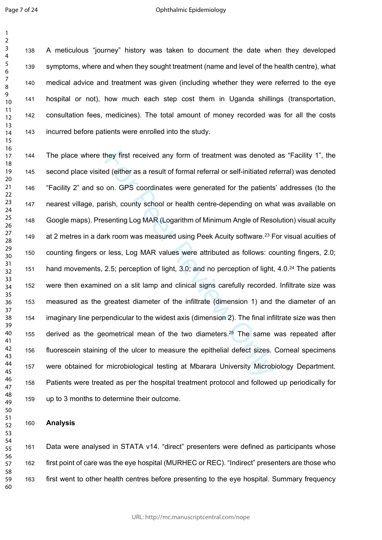$\mathbf{1}$  $\overline{2}$ 

 A meticulous "journey" history was taken to document the date when they developed symptoms, where and when they sought treatment (name and level of the health centre), what medical advice and treatment was given (including whether they were referred to the eye hospital or not), how much each step cost them in Uganda shillings (transportation, consultation fees, medicines). The total amount of money recorded was for all the costs incurred before patients were enrolled into the study.

they first received any form of treatment was denoted<br>
ed (either as a result of formal referral or self-initiated re<br>
on. GPS coordinates were generated for the patients<br>
rish, county school or health centre-depending on The place where they first received any form of treatment was denoted as "Facility 1", the second place visited (either as a result of formal referral or self-initiated referral) was denoted "Facility 2" and so on. GPS coordinates were generated for the patients' addresses (to the nearest village, parish, county school or health centre-depending on what was available on Google maps). Presenting Log MAR (Logarithm of Minimum Angle of Resolution) visual acuity 149 at 2 metres in a dark room was measured using Peek Acuity software.<sup>23</sup> For visual acuities of counting fingers or less, Log MAR values were attributed as follows: counting fingers, 2.0; hand movements, 2.5; perception of light, 3.0; and no perception of light, 4.0.<sup>24</sup> The patients were then examined on a slit lamp and clinical signs carefully recorded. Infiltrate size was measured as the greatest diameter of the infiltrate (dimension 1) and the diameter of an imaginary line perpendicular to the widest axis (dimension 2). The final infiltrate size was then 155 derived as the geometrical mean of the two diameters.<sup>25</sup> The same was repeated after fluorescein staining of the ulcer to measure the epithelial defect sizes. Corneal specimens were obtained for microbiological testing at Mbarara University Microbiology Department. Patients were treated as per the hospital treatment protocol and followed up periodically for up to 3 months to determine their outcome.

#### **Analysis**

 Data were analysed in STATA v14. "direct" presenters were defined as participants whose first point of care was the eye hospital (MURHEC or REC). "Indirect" presenters are those who first went to other health centres before presenting to the eye hospital. Summary frequency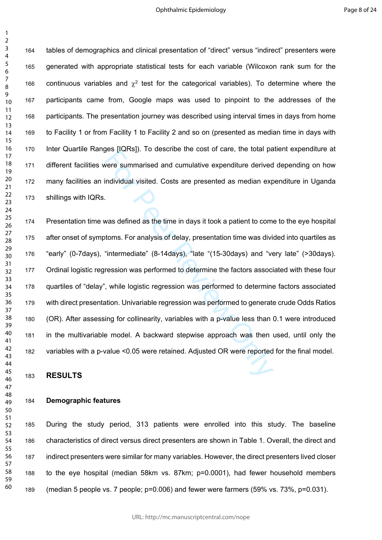tables of demographics and clinical presentation of "direct" versus "indirect" presenters were generated with appropriate statistical tests for each variable (Wilcoxon rank sum for the 166 continuous variables and  $\chi^2$  test for the categorical variables). To determine where the participants came from, Google maps was used to pinpoint to the addresses of the participants. The presentation journey was described using interval times in days from home to Facility 1 or from Facility 1 to Facility 2 and so on (presented as median time in days with Inter Quartile Ranges [IQRs]). To describe the cost of care, the total patient expenditure at different facilities were summarised and cumulative expenditure derived depending on how many facilities an individual visited. Costs are presented as median expenditure in Uganda shillings with IQRs.

ges peakspy. To assemble the cost of care, the total particular view over entergal and cumulative expenditure derived individual visited. Costs are presented as median expansion of the set of care in days it took a patient Presentation time was defined as the time in days it took a patient to come to the eye hospital after onset of symptoms. For analysis of delay, presentation time was divided into quartiles as "early" (0-7days), "intermediate" (8-14days), "late "(15-30days) and "very late" (>30days). Ordinal logistic regression was performed to determine the factors associated with these four quartiles of "delay", while logistic regression was performed to determine factors associated with direct presentation. Univariable regression was performed to generate crude Odds Ratios (OR). After assessing for collinearity, variables with a p-value less than 0.1 were introduced in the multivariable model. A backward stepwise approach was then used, until only the variables with a p-value <0.05 were retained. Adjusted OR were reported for the final model.

**RESULTS**

### **Demographic features**

 During the study period, 313 patients were enrolled into this study. The baseline characteristics of direct versus direct presenters are shown in Table 1. Overall, the direct and indirect presenters were similar for many variables. However, the direct presenters lived closer to the eye hospital (median 58km vs. 87km; p=0.0001), had fewer household members (median 5 people vs. 7 people; p=0.006) and fewer were farmers (59% vs. 73%, p=0.031).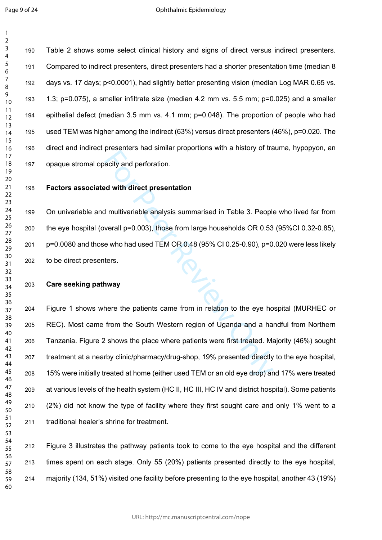$\mathbf{1}$ 

 Table 2 shows some select clinical history and signs of direct versus indirect presenters. Compared to indirect presenters, direct presenters had a shorter presentation time (median 8 days vs. 17 days; p<0.0001), had slightly better presenting vision (median Log MAR 0.65 vs. 1.3; p=0.075), a smaller infiltrate size (median 4.2 mm vs. 5.5 mm; p=0.025) and a smaller epithelial defect (median 3.5 mm vs. 4.1 mm; p=0.048). The proportion of people who had used TEM was higher among the indirect (63%) versus direct presenters (46%), p=0.020. The direct and indirect presenters had similar proportions with a history of trauma, hypopyon, an opaque stromal opacity and perforation.

## **Factors associated with direct presentation**

 On univariable and multivariable analysis summarised in Table 3. People who lived far from the eye hospital (overall p=0.003), those from large households OR 0.53 (95%CI 0.32-0.85), p=0.0080 and those who had used TEM OR 0.48 (95% CI 0.25-0.90), p=0.020 were less likely to be direct presenters.

### **Care seeking pathway**

preceduate that eminal prepertents that a metally of the determinal prepertent time in the metally of the determinant properties and multivariable analysis summarised in Table 3. People<br>verall p=0.003), those from large ho Figure 1 shows where the patients came from in relation to the eye hospital (MURHEC or REC). Most came from the South Western region of Uganda and a handful from Northern Tanzania. Figure 2 shows the place where patients were first treated. Majority (46%) sought treatment at a nearby clinic/pharmacy/drug-shop, 19% presented directly to the eye hospital, 15% were initially treated at home (either used TEM or an old eye drop) and 17% were treated at various levels of the health system (HC II, HC III, HC IV and district hospital). Some patients (2%) did not know the type of facility where they first sought care and only 1% went to a traditional healer's shrine for treatment.

 Figure 3 illustrates the pathway patients took to come to the eye hospital and the different times spent on each stage. Only 55 (20%) patients presented directly to the eye hospital, majority (134, 51%) visited one facility before presenting to the eye hospital, another 43 (19%)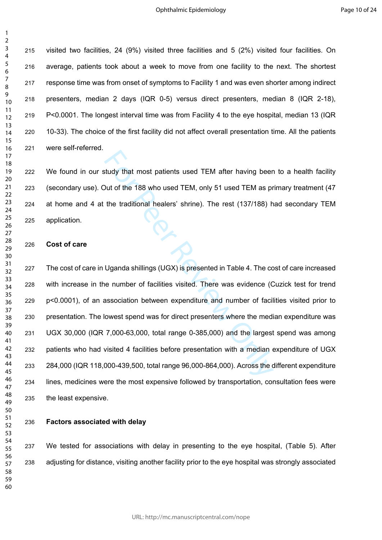$\mathbf{1}$  $\overline{2}$ 

> visited two facilities, 24 (9%) visited three facilities and 5 (2%) visited four facilities. On average, patients took about a week to move from one facility to the next. The shortest response time was from onset of symptoms to Facility 1 and was even shorter among indirect presenters, median 2 days (IQR 0-5) versus direct presenters, median 8 (IQR 2-18), P<0.0001. The longest interval time was from Facility 4 to the eye hospital, median 13 (IQR 10-33). The choice of the first facility did not affect overall presentation time. All the patients were self-referred.

> We found in our study that most patients used TEM after having been to a health facility (secondary use). Out of the 188 who used TEM, only 51 used TEM as primary treatment (47 at home and 4 at the traditional healers' shrine). The rest (137/188) had secondary TEM application. **Cost of care**<br>227 The cost of care in Uganda shillings (UGX) is presented in Table 4. The cost of care increased

#### **Cost of care**

study that most patients used TEM after having been<br>
Dut of the 188 who used TEM, only 51 used TEM as pr<br>
the traditional healers' shrine). The rest (137/188) h<br>
He traditional healers' shrine). The rest (137/188) h<br>
Ugand with increase in the number of facilities visited. There was evidence (Cuzick test for trend p<0.0001), of an association between expenditure and number of facilities visited prior to presentation. The lowest spend was for direct presenters where the median expenditure was UGX 30,000 (IQR 7,000-63,000, total range 0-385,000) and the largest spend was among patients who had visited 4 facilities before presentation with a median expenditure of UGX 284,000 (IQR 118,000-439,500, total range 96,000-864,000). Across the different expenditure lines, medicines were the most expensive followed by transportation, consultation fees were the least expensive.

**Factors associated with delay**

 We tested for associations with delay in presenting to the eye hospital, (Table 5). After adjusting for distance, visiting another facility prior to the eye hospital was strongly associated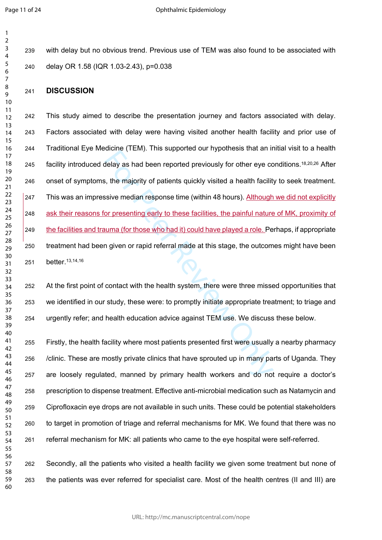with delay but no obvious trend. Previous use of TEM was also found to be associated with delay OR 1.58 (IQR 1.03-2.43), p=0.038

## **DISCUSSION**

delay as had been reported previously for other eye complements (1 Lin). This supported our injectiously for other eye complements and been reported previously for other eye complements and the majority of patients quickly This study aimed to describe the presentation journey and factors associated with delay. Factors associated with delay were having visited another health facility and prior use of Traditional Eye Medicine (TEM). This supported our hypothesis that an initial visit to a health 245 facility introduced delay as had been reported previously for other eye conditions.<sup>18,20,26</sup> After onset of symptoms, the majority of patients quickly visited a health facility to seek treatment. 247 This was an impressive median response time (within 48 hours). Although we did not explicitly ask their reasons for presenting early to these facilities, the painful nature of MK, proximity of the facilities and trauma (for those who had it) could have played a role. Perhaps, if appropriate treatment had been given or rapid referral made at this stage, the outcomes might have been better.13,14,16

 At the first point of contact with the health system, there were three missed opportunities that we identified in our study, these were: to promptly initiate appropriate treatment; to triage and urgently refer; and health education advice against TEM use. We discuss these below.

 Firstly, the health facility where most patients presented first were usually a nearby pharmacy /clinic. These are mostly private clinics that have sprouted up in many parts of Uganda. They are loosely regulated, manned by primary health workers and do not require a doctor's prescription to dispense treatment. Effective anti-microbial medication such as Natamycin and Ciprofloxacin eye drops are not available in such units. These could be potential stakeholders to target in promotion of triage and referral mechanisms for MK. We found that there was no referral mechanism for MK: all patients who came to the eye hospital were self-referred. 

 Secondly, all the patients who visited a health facility we given some treatment but none of the patients was ever referred for specialist care. Most of the health centres (II and III) are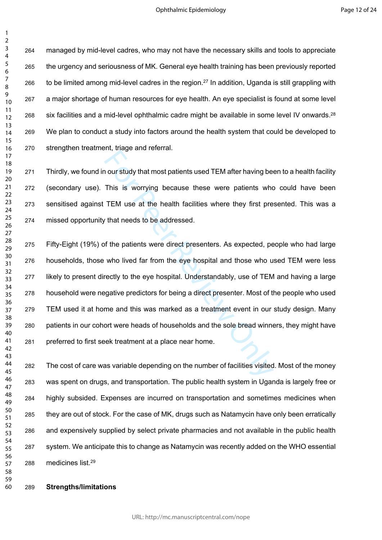$\mathbf{1}$ 

 managed by mid-level cadres, who may not have the necessary skills and tools to appreciate the urgency and seriousness of MK. General eye health training has been previously reported 266 to be limited among mid-level cadres in the region.<sup>27</sup> In addition, Uganda is still grappling with a major shortage of human resources for eye health. An eye specialist is found at some level 268 six facilities and a mid-level ophthalmic cadre might be available in some level IV onwards.<sup>28</sup> We plan to conduct a study into factors around the health system that could be developed to strengthen treatment, triage and referral.

 Thirdly, we found in our study that most patients used TEM after having been to a health facility (secondary use). This is worrying because these were patients who could have been sensitised against TEM use at the health facilities where they first presented. This was a missed opportunity that needs to be addressed.

The stage and science...<br>This is worrying because these were patients who<br>TEM use at the health facilities where they first previous at the health facilities where they first previous of<br>that needs to be addressed.<br>The pat Fifty-Eight (19%) of the patients were direct presenters. As expected, people who had large households, those who lived far from the eye hospital and those who used TEM were less likely to present directly to the eye hospital. Understandably, use of TEM and having a large household were negative predictors for being a direct presenter. Most of the people who used TEM used it at home and this was marked as a treatment event in our study design. Many patients in our cohort were heads of households and the sole bread winners, they might have preferred to first seek treatment at a place near home.

 The cost of care was variable depending on the number of facilities visited. Most of the money was spent on drugs, and transportation. The public health system in Uganda is largely free or highly subsided. Expenses are incurred on transportation and sometimes medicines when they are out of stock. For the case of MK, drugs such as Natamycin have only been erratically and expensively supplied by select private pharmacies and not available in the public health system. We anticipate this to change as Natamycin was recently added on the WHO essential medicines list.<sup>29</sup>

**Strengths/limitations**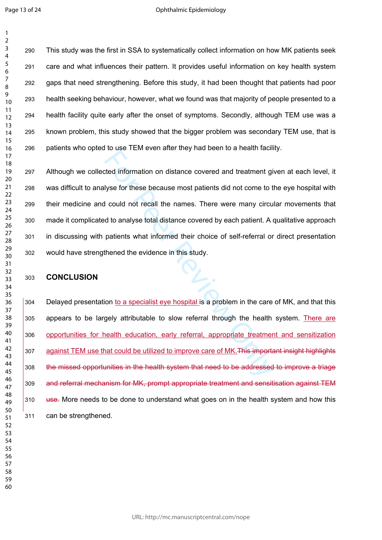$\mathbf{1}$ 

 This study was the first in SSA to systematically collect information on how MK patients seek care and what influences their pattern. It provides useful information on key health system gaps that need strengthening. Before this study, it had been thought that patients had poor health seeking behaviour, however, what we found was that majority of people presented to a health facility quite early after the onset of symptoms. Secondly, although TEM use was a known problem, this study showed that the bigger problem was secondary TEM use, that is patients who opted to use TEM even after they had been to a health facility.

For the electron of the matter and the matter and the different different different different different different different different different different different different different different different different differen Although we collected information on distance covered and treatment given at each level, it was difficult to analyse for these because most patients did not come to the eye hospital with their medicine and could not recall the names. There were many circular movements that made it complicated to analyse total distance covered by each patient. A qualitative approach in discussing with patients what informed their choice of self-referral or direct presentation would have strengthened the evidence in this study.

## **CONCLUSION**

 Delayed presentation to a specialist eye hospital is a problem in the care of MK, and that this appears to be largely attributable to slow referral through the health system. There are opportunities for health education, early referral, appropriate treatment and sensitization 307 against TEM use that could be utilized to improve care of MK. This important insight highlights the missed opportunities in the health system that need to be addressed to improve a triage and referral mechanism for MK, prompt appropriate treatment and sensitisation against TEM 310 use. More needs to be done to understand what goes on in the health system and how this can be strengthened.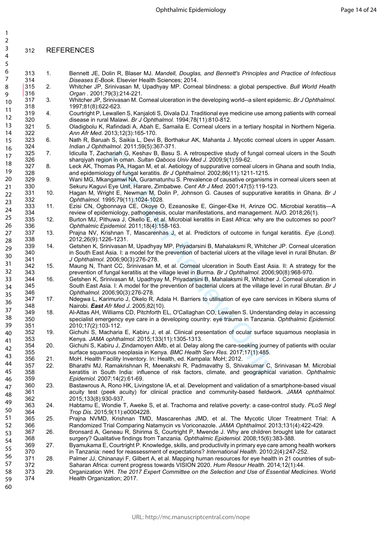## REFERENCES

| $\mathbf{1}$ |            |     |                                                                                                                                                                                                          |
|--------------|------------|-----|----------------------------------------------------------------------------------------------------------------------------------------------------------------------------------------------------------|
| 2            |            |     |                                                                                                                                                                                                          |
| 3            | 312        |     | <b>REFERENCES</b>                                                                                                                                                                                        |
| 4            |            |     |                                                                                                                                                                                                          |
| 5            |            |     |                                                                                                                                                                                                          |
| 6            | 313        | 1.  | Bennett JE, Dolin R, Blaser MJ. Mandell, Douglas, and Bennett's Principles and Practice of Infectious                                                                                                    |
| 7            | 314        |     | Diseases E-Book. Elsevier Health Sciences; 2014.                                                                                                                                                         |
| 8            | 315<br>316 | 2.  | Whitcher JP, Srinivasan M, Upadhyay MP. Corneal blindness: a global perspective. Bull World Health                                                                                                       |
| 9            | 317        | 3.  | Organ . 2001;79(3):214-221.<br>Whitcher JP, Srinivasan M. Corneal ulceration in the developing world--a silent epidemic. Br J Ophthalmol.                                                                |
| 10           | 318        |     | 1997;81(8):622-623.                                                                                                                                                                                      |
| 11           | 319        | 4.  | Courtright P, Lewallen S, Kanjaloti S, Divala DJ. Traditional eye medicine use among patients with corneal                                                                                               |
| 12           | 320        |     | disease in rural Malawi. Br J Ophthalmol. 1994;78(11):810-812.                                                                                                                                           |
| 13           | 321        | 5.  | Oladigbolu K, Rafindadi A, Abah E, Samaila E. Corneal ulcers in a tertiary hospital in Northern Nigeria.                                                                                                 |
| 14           | 322<br>323 | 6.  | Ann Afr Med. 2013;12(3):165-170.<br>Nath R, Baruah S, Saikia L, Devi B, Borthakur AK, Mahanta J. Mycotic corneal ulcers in upper Assam.                                                                  |
| 15           | 324        |     | Indian J Ophthalmol. 2011;59(5):367-371.                                                                                                                                                                 |
| 16           | 325        | 7.  | Idiculla T, Zachariah G, Keshav B, Basu S. A retrospective study of fungal corneal ulcers in the South                                                                                                   |
| 17           | 326        |     | sharqiyah region in oman. Sultan Qaboos Univ Med J. 2009;9(1):59-62.                                                                                                                                     |
| 18           | 327        | 8.  | Leck AK, Thomas PA, Hagan M, et al. Aetiology of suppurative corneal ulcers in Ghana and south India,                                                                                                    |
| 19           | 328        |     | and epidemiology of fungal keratitis. Br J Ophthalmol. 2002;86(11):1211-1215.                                                                                                                            |
| 20           | 329        | 9.  | Wani MG, Mkangamwi NA, Guramatunhu S. Prevalence of causative organisms in corneal ulcers seen at                                                                                                        |
| 21           | 330<br>331 | 10. | Sekuru Kaguvi Eye Unit, Harare, Zimbabwe. Cent Afr J Med. 2001;47(5):119-123.<br>Hagan M, Wright E, Newman M, Dolin P, Johnson G. Causes of suppurative keratitis in Ghana. Br J                         |
| 22           | 332        |     | Ophthalmol. 1995;79(11):1024-1028.                                                                                                                                                                       |
| 23           | 333        | 11. | Ezisi CN, Ogbonnaya CE, Okoye O, Ezeanosike E, Ginger-Eke H, Arinze OC. Microbial keratitis-A                                                                                                            |
| 24           | 334        |     | review of epidemiology, pathogenesis, ocular manifestations, and management. NJO. 2018;26(1).                                                                                                            |
| 25           | 335        | 12. | Burton MJ, Pithuwa J, Okello E, et al. Microbial keratitis in East Africa: why are the outcomes so poor?                                                                                                 |
| 26           | 336        |     | Ophthalmic Epidemiol. 2011;18(4):158-163.                                                                                                                                                                |
| 27           | 337        | 13. | Prajna NV, Krishnan T, Mascarenhas J, et al. Predictors of outcome in fungal keratitis. Eye (Lond).                                                                                                      |
| 28           | 338<br>339 | 14. | 2012;26(9):1226-1231.<br>Getshen K, Srinivasan M, Upadhyay MP, Priyadarsini B, Mahalaksmi R, Whitcher JP. Corneal ulceration                                                                             |
| 29           | 340        |     | in South East Asia. I: a model for the prevention of bacterial ulcers at the village level in rural Bhutan. Br                                                                                           |
| 30           | 341        |     | J Ophthalmol. 2006;90(3):276-278.                                                                                                                                                                        |
| 31           | 342        | 15. | Maung N, Thant CC, Srinivasan M, et al. Corneal ulceration in South East Asia. II: A strategy for the                                                                                                    |
| 32           | 343        |     | prevention of fungal keratitis at the village level in Burma. Br J Ophthalmol. 2006;90(8):968-970.                                                                                                       |
| 33           | 344        | 16. | Getshen K, Srinivasan M, Upadhyay M, Priyadarsini B, Mahalaksmi R, Whitcher J. Corneal ulceration in                                                                                                     |
| 34           | 345        |     | South East Asia. I: A model for the prevention of bacterial ulcers at the village level in rural Bhutan. Br J                                                                                            |
| 35           | 346<br>347 | 17. | Ophthalmol. 2006;90(3):276-278.<br>Ndegwa L, Karimurio J, Okelo R, Adala H. Barriers to utilisation of eye care services in Kibera slums of                                                              |
| 36           | 348        |     | Nairobi. East Afr Med J. 2005;82(10).                                                                                                                                                                    |
| 37           | 349        | 18. | Al-Attas AH, Williams CD, Pitchforth EL, O'Callaghan CO, Lewallen S. Understanding delay in accessing                                                                                                    |
| 38           | 350        |     | specialist emergency eye care in a developing country: eye trauma in Tanzania. Ophthalmic Epidemiol.                                                                                                     |
| 39           | 351        |     | 2010;17(2):103-112.                                                                                                                                                                                      |
| 40           | 352        | 19. | Gichuhi S, Macharia E, Kabiru J, et al. Clinical presentation of ocular surface squamous neoplasia in                                                                                                    |
| 41           | 353<br>354 | 20. | Kenya. JAMA ophthalmol. 2015;133(11):1305-1313.<br>Gichuhi S, Kabiru J, Zindamoyen AMb, et al. Delay along the care-seeking journey of patients with ocular                                              |
| 42           | 355        |     | surface squamous neoplasia in Kenya. BMC Health Serv Res. 2017;17(1):485.                                                                                                                                |
| 43           | 356        | 21. | MoH. Health Facility Inventory. In: Health, ed. Kampala: MoH; 2012.                                                                                                                                      |
| 44           | 357        | 22. | Bharathi MJ, Ramakrishnan R, Meenakshi R, Padmavathy S, Shivakumar C, Srinivasan M. Microbial                                                                                                            |
| 45           | 358        |     | keratitis in South India: influence of risk factors, climate, and geographical variation. Ophthalmic                                                                                                     |
| 46           | 359        |     | Epidemiol. 2007;14(2):61-69.                                                                                                                                                                             |
| 47           | 360        | 23. | Bastawrous A, Rono HK, Livingstone IA, et al. Development and validation of a smartphone-based visual                                                                                                    |
| 48           | 361        |     | acuity test (peek acuity) for clinical practice and community-based fieldwork. JAMA ophthalmol.                                                                                                          |
| 49           | 362<br>363 | 24. | 2015;133(8):930-937.<br>Habtamu E, Wondie T, Aweke S, et al. Trachoma and relative poverty: a case-control study. PLoS Negl                                                                              |
| 50           | 364        |     | Trop Dis. 2015;9(11):e0004228.                                                                                                                                                                           |
| 51           | 365        | 25. | Prajna NVMD, Krishnan TMD, Mascarenhas JMD, et al. The Mycotic Ulcer Treatment Trial: A                                                                                                                  |
| 52           | 366        |     | Randomized Trial Comparing Natamycin vs Voriconazole. JAMA Ophthalmol. 2013;131(4):422-429.                                                                                                              |
| 53           | 367        | 26. | Bronsard A, Geneau R, Shirima S, Courtright P, Mwende J. Why are children brought late for cataract                                                                                                      |
| 54           | 368        |     | surgery? Qualitative findings from Tanzania. Ophthalmic Epidemiol. 2008;15(6):383-388.                                                                                                                   |
| 55           | 369        | 27. | Byamukama E, Courtright P. Knowledge, skills, and productivity in primary eye care among health workers                                                                                                  |
| 56           | 370<br>371 | 28. | in Tanzania: need for reassessment of expectations? International Health. 2010;2(4):247-252.<br>Palmer JJ, Chinanayi F, Gilbert A, et al. Mapping human resources for eye health in 21 countries of sub- |
| 57           | 372        |     | Saharan Africa: current progress towards VISION 2020. Hum Resour Health. 2014;12(1):44.                                                                                                                  |
| 58           | 373        | 29. | Organization WH. The 2017 Expert Committee on the Selection and Use of Essential Medicines. World                                                                                                        |
| 59           | 374        |     | Health Organization; 2017.                                                                                                                                                                               |
| 60           |            |     |                                                                                                                                                                                                          |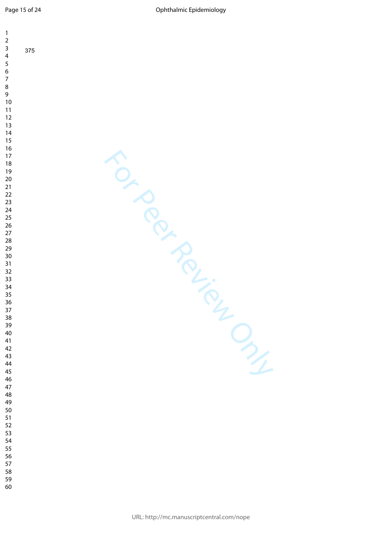| $\mathbf{1}$<br>$\mathbf 2$<br>$\mathsf{3}$     |     |  |  |   |               |
|-------------------------------------------------|-----|--|--|---|---------------|
| $\overline{\mathbf{4}}$<br>5                    | 375 |  |  |   |               |
| $\boldsymbol{6}$<br>$\boldsymbol{7}$<br>$\,8\,$ |     |  |  |   |               |
| 9<br>$10\,$                                     |     |  |  |   |               |
| 11<br>$12\,$<br>$13$                            |     |  |  |   |               |
| 14<br>$15\,$<br>16                              |     |  |  |   |               |
| $17\,$<br>$18\,$                                |     |  |  |   |               |
| $19$<br>$20\,$<br>$21$                          |     |  |  |   |               |
| $22\,$<br>23                                    |     |  |  |   |               |
| 24<br>25<br>26                                  |     |  |  |   |               |
| $27\,$<br>28<br>29                              |     |  |  |   |               |
| $30\,$<br>31<br>32                              |     |  |  |   |               |
| 33<br>34                                        |     |  |  | Ŏ |               |
| 35<br>36<br>37                                  |     |  |  |   |               |
| 38<br>39                                        |     |  |  | C |               |
| $40\,$<br>41<br>42                              |     |  |  |   | $\frac{1}{2}$ |
| 43<br>44<br>45                                  |     |  |  |   |               |
| 46<br>$47\,$                                    |     |  |  |   |               |
| 48<br>49<br>50                                  |     |  |  |   |               |
| 51<br>52<br>53                                  |     |  |  |   |               |
| 54<br>55                                        |     |  |  |   |               |
| 56<br>57<br>58                                  |     |  |  |   |               |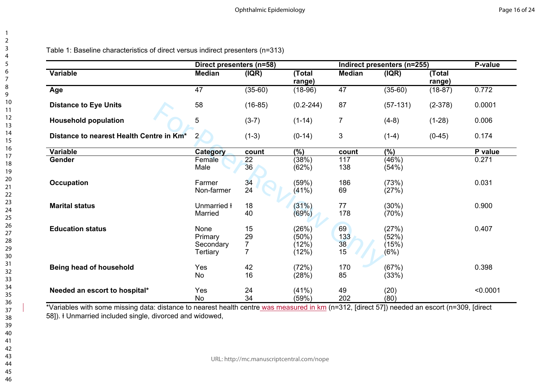|                                          | Direct presenters (n=58) |           |                  |                | Indirect presenters (n=255) |                  | P-value  |
|------------------------------------------|--------------------------|-----------|------------------|----------------|-----------------------------|------------------|----------|
| <b>Variable</b>                          | <b>Median</b>            | ( IQR)    | (Total<br>range) | <b>Median</b>  | (IQR)                       | (Total<br>range) |          |
| Age                                      | 47                       | $(35-60)$ | $(18-96)$        | 47             | $(35-60)$                   | $(18-87)$        | 0.772    |
| <b>Distance to Eye Units</b>             | 58                       | $(16-85)$ | $(0.2 - 244)$    | 87             | $(57-131)$                  | $(2-378)$        | 0.0001   |
| <b>Household population</b>              | 5                        | $(3-7)$   | $(1-14)$         | $\overline{7}$ | $(4-8)$                     | $(1-28)$         | 0.006    |
| Distance to nearest Health Centre in Km* | $\overline{2}$           | $(1-3)$   | $(0-14)$         | 3              | $(1-4)$                     | $(0-45)$         | 0.174    |
| <b>Variable</b>                          | Category                 | count     | (%)              | count          | $\overline{(\%)}$           |                  | P value  |
| Gender                                   | Female                   | 22        | (38%)            | 117            | (46%)                       |                  | 0.271    |
|                                          | Male                     | 36        | (62%)            | 138            | (54%)                       |                  |          |
| <b>Occupation</b>                        | Farmer                   | 34        | (59%)            | 186            | (73%)                       |                  | 0.031    |
|                                          | Non-farmer               | 24        | (41%)            | 69             | (27%)                       |                  |          |
| <b>Marital status</b>                    | Unmarried <b>ł</b>       | 18        | (31%)            | 77             | (30%)                       |                  | 0.900    |
|                                          | Married                  | 40        | (69%)            | 178            | (70%)                       |                  |          |
| <b>Education status</b>                  | None                     | 15        | (26%)            | 69             | (27%)                       |                  | 0.407    |
|                                          | Primary                  | 29        | (50%)            | 133            | (52%)                       |                  |          |
|                                          | Secondary                |           | (12%)            | 38             | (15%)                       |                  |          |
|                                          | <b>Tertiary</b>          |           | (12%)            | 15             | (6%)                        |                  |          |
| Being head of household                  | Yes                      | 42        | (72%)            | 170            | (67%)                       |                  | 0.398    |
|                                          | No                       | 16        | (28%)            | 85             | (33%)                       |                  |          |
| Needed an escort to hospital*            | Yes                      | 24        | (41%)            | 49             | (20)                        |                  | < 0.0001 |
|                                          | <b>No</b>                | 34        | (59%)            | 202            | (80)                        |                  |          |

\*Variables with some missing data: distance to nearest health centre was measured in km (n=312, [direct 57]) needed an escort (n=309, [direct 58]). Ɨ Unmarried included single, divorced and widowed,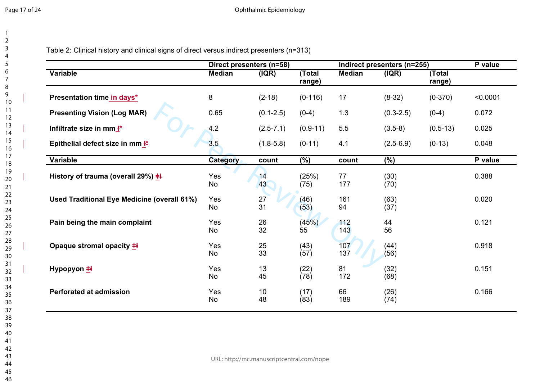| 1                       |   |  |
|-------------------------|---|--|
| $\overline{\mathbf{c}}$ |   |  |
|                         |   |  |
|                         |   |  |
|                         |   |  |
|                         |   |  |
|                         |   |  |
|                         |   |  |
| 3 4 5 6 7 8 9 10        |   |  |
|                         | I |  |
| 11                      |   |  |
| $\overline{12}$         |   |  |
| $\overline{13}$         |   |  |
|                         | I |  |
| 14<br>15                |   |  |
| 16                      | I |  |
| 17                      |   |  |
| 18                      |   |  |
| 19                      |   |  |
|                         | I |  |
|                         |   |  |
|                         |   |  |
|                         |   |  |
|                         |   |  |
|                         |   |  |
|                         |   |  |
|                         |   |  |
|                         |   |  |
|                         | I |  |
|                         |   |  |
|                         |   |  |
|                         | I |  |
|                         |   |  |
|                         |   |  |
|                         |   |  |
|                         |   |  |
| 37                      |   |  |
|                         |   |  |
| 38<br>39                |   |  |
| 40                      |   |  |
| 41                      |   |  |
| 42                      |   |  |
| 43                      |   |  |
| 44                      |   |  |
| 45                      |   |  |
|                         |   |  |

Table 2: Clinical history and clinical signs of direct versus indirect presenters (n=313)

|                                             |                  | Direct presenters (n=58) |                  |               | Indirect presenters (n=255) |                  |          |  |
|---------------------------------------------|------------------|--------------------------|------------------|---------------|-----------------------------|------------------|----------|--|
| <b>Variable</b>                             | <b>Median</b>    | ( IQR)                   | (Total<br>range) | <b>Median</b> | ( IQR)                      | (Total<br>range) |          |  |
| Presentation time in days*                  | 8                | $(2-18)$                 | $(0-116)$        | 17            | $(8-32)$                    | $(0-370)$        | < 0.0001 |  |
| <b>Presenting Vision (Log MAR)</b>          | 0.65             | $(0.1 - 2.5)$            | $(0-4)$          | 1.3           | $(0.3 - 2.5)$               | $(0-4)$          | 0.072    |  |
| Infiltrate size in mm <sup>k*</sup>         | 4.2              | $(2.5 - 7.1)$            | $(0.9-11)$       | 5.5           | $(3.5-8)$                   | $(0.5-13)$       | 0.025    |  |
| Epithelial defect size in mm k*             | 3.5              | $(1.8-5.8)$              | $(0-11)$         | 4.1           | $(2.5-6.9)$                 | $(0-13)$         | 0.048    |  |
| Variable                                    | <b>Category</b>  | count                    | $(\%)$           | count         | $(\%)$                      |                  | P value  |  |
| History of trauma (overall 29%) $\pm$ H     | Yes<br>No        | 14<br>43                 | (25%)<br>(75)    | 77<br>177     | (30)<br>(70)                |                  | 0.388    |  |
| Used Traditional Eye Medicine (overall 61%) | Yes<br>No        | 27<br>31                 | (46)<br>(53)     | 161<br>94     | (63)<br>(37)                |                  | 0.020    |  |
| Pain being the main complaint               | Yes<br><b>No</b> | 26<br>32                 | (45%)<br>55      | 112<br>143    | 44<br>56                    |                  | 0.121    |  |
| Opaque stromal opacity $\pm$                | Yes<br>No        | 25<br>33                 | (43)<br>(57)     | 107<br>137    | (44)<br>(56)                |                  | 0.918    |  |
| Hypopyon $\pm$                              | Yes<br>No        | 13<br>45                 | (22)<br>(78)     | 81<br>172     | (32)<br>(68)                |                  | 0.151    |  |
| <b>Perforated at admission</b>              | Yes<br><b>No</b> | 10<br>48                 | (17)<br>(83)     | 66<br>189     | (26)<br>(74)                |                  | 0.166    |  |
|                                             |                  |                          |                  |               |                             |                  |          |  |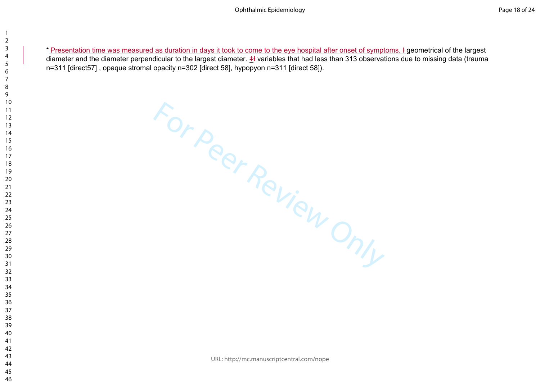diameter and the diameter perpendicular to the largest diameter.  $\pm\frac{1}{2}$  variables that had less than 313 observations due to missing data (trauma n=311 [direct57] , opaque stromal opacity n=302 [direct 58], hypopyon n=311 [direct 58]).

Freemation time was measured as duration ridays it took to come to the eye hospital after onset of symptoms. I geometrical of the largest<br>diameter and the diameter perpendicular to the largest diameter. 44 variables that h

URL: http://mc.manuscriptcentral.com/nope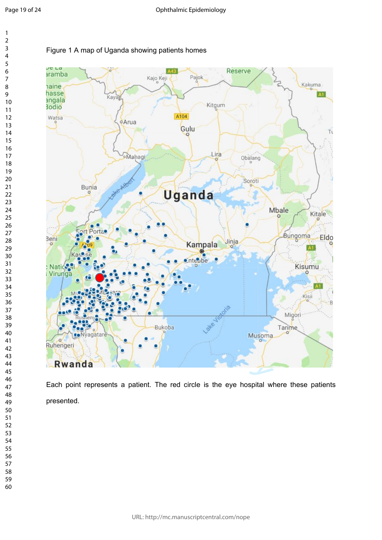$\overline{7}$ 

 $\mathbf{1}$  $\overline{2}$  $\overline{3}$  $\overline{4}$ 



Each point represents a patient. The red circle is the eye hospital where these patients presented.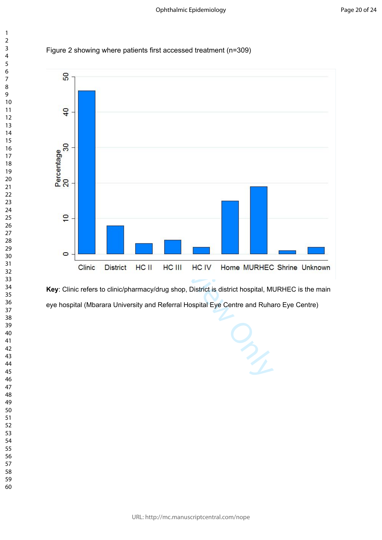



**Key**: Clinic refers to clinic/pharmacy/drug shop, District is district hospital, MURHEC is the main eye hospital (Mbarara University and Referral Hospital Eye Centre and Ruharo Eye Centre)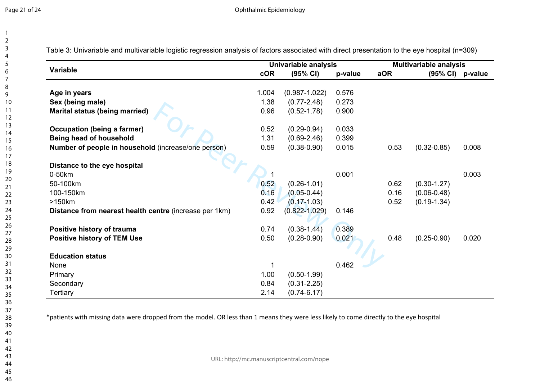|                                                        |            | Univariable analysis |         |      | <b>Multivariable analysis</b> |       |
|--------------------------------------------------------|------------|----------------------|---------|------|-------------------------------|-------|
| <b>Variable</b>                                        | <b>cOR</b> | $(95% \text{ Cl})$   | p-value | aOR  | $(95\% \text{ Cl})$ p-value   |       |
| Age in years                                           | 1.004      | $(0.987 - 1.022)$    | 0.576   |      |                               |       |
| Sex (being male)                                       | 1.38       | $(0.77 - 2.48)$      | 0.273   |      |                               |       |
| Marital status (being married)                         | 0.96       | $(0.52 - 1.78)$      | 0.900   |      |                               |       |
| <b>Occupation (being a farmer)</b>                     | 0.52       | $(0.29 - 0.94)$      | 0.033   |      |                               |       |
| Being head of household                                | 1.31       | $(0.69 - 2.46)$      | 0.399   |      |                               |       |
| Number of people in household (increase/one person)    | 0.59       | $(0.38 - 0.90)$      | 0.015   | 0.53 | $(0.32 - 0.85)$               | 0.008 |
| Distance to the eye hospital                           |            |                      |         |      |                               |       |
| 0-50km                                                 |            |                      | 0.001   |      |                               | 0.003 |
| 50-100km                                               | 0.52       | $(0.26 - 1.01)$      |         | 0.62 | $(0.30 - 1.27)$               |       |
| 100-150km                                              | 0.16       | $(0.05 - 0.44)$      |         | 0.16 | $(0.06 - 0.48)$               |       |
| >150km                                                 | 0.42       | $(0.17 - 1.03)$      |         | 0.52 | $(0.19 - 1.34)$               |       |
| Distance from nearest health centre (increase per 1km) | 0.92       | $(0.822 - 1.029)$    | 0.146   |      |                               |       |
| Positive history of trauma                             | 0.74       | $(0.38 - 1.44)$      | 0.389   |      |                               |       |
| <b>Positive history of TEM Use</b>                     | 0.50       | $(0.28 - 0.90)$      | 0.021   | 0.48 | $(0.25 - 0.90)$               | 0.020 |
| <b>Education status</b>                                |            |                      |         |      |                               |       |
| None                                                   |            |                      | 0.462   |      |                               |       |
| Primary                                                | 1.00       | $(0.50 - 1.99)$      |         |      |                               |       |
| Secondary                                              | 0.84       | $(0.31 - 2.25)$      |         |      |                               |       |
| <b>Tertiary</b>                                        | 2.14       | $(0.74 - 6.17)$      |         |      |                               |       |

Table 3: Univariable and multivariable logistic regression analysis of factors associated with direct presentation to the eye hospital (n=309)

\*patients with missing data were dropped from the model. OR less than 1 means they were less likely to come directly to the eye hospital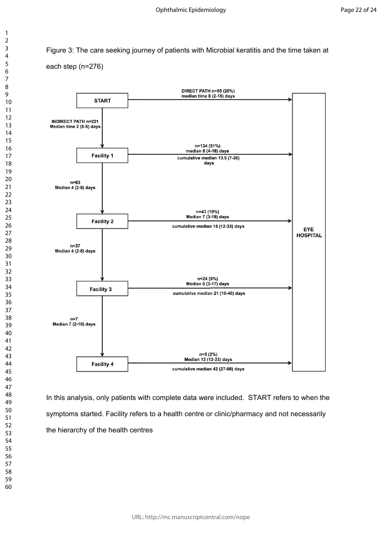Figure 3: The care seeking journey of patients with Microbial keratitis and the time taken at each step (n=276)



In this analysis, only patients with complete data were included. START refers to when the symptoms started. Facility refers to a health centre or clinic/pharmacy and not necessarily the hierarchy of the health centres

 $\mathbf{1}$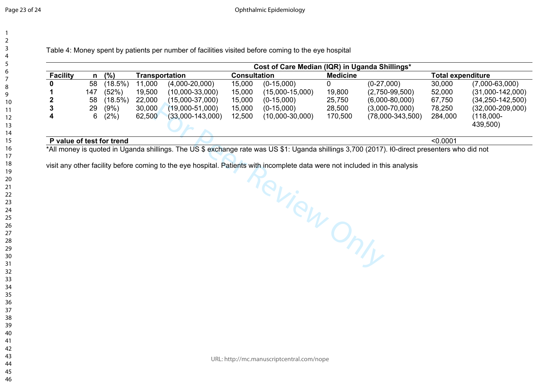Ophthalmic Epidemiology

Table 4: Money spent by patients per number of facilities visited before coming to the eye hospital

| Transportation<br>$(4,000-20,000)$<br>11,000 | <b>Consultation</b>         | <b>Medicine</b>               |                                  |  |  |
|----------------------------------------------|-----------------------------|-------------------------------|----------------------------------|--|--|
|                                              |                             |                               | <b>Total expenditure</b>         |  |  |
|                                              | 15,000<br>$(0-15,000)$      | $(0-27,000)$                  | 30,000<br>$(7,000 - 63,000)$     |  |  |
| 19,500<br>$(10,000-33,000)$                  | 15,000<br>$(15,000-15,000)$ | 19,800<br>$(2,750-99,500)$    | 52,000<br>$(31,000-142,000)$     |  |  |
| 22,000<br>$(15,000-37,000)$                  | 15,000<br>$(0-15,000)$      | 25,750<br>$(6,000-80,000)$    | $(34, 250 - 142, 500)$<br>67,750 |  |  |
| 30,000<br>$(19,000-51,000)$                  | 15,000<br>$(0-15,000)$      | 28,500<br>$(3,000-70,000)$    | 78,250<br>$(32,000-209,000)$     |  |  |
| 62,500<br>$(33,000-143,000)$                 | 12,500<br>$(10,000-30,000)$ | 170,500<br>$(78,000-343,500)$ | 284,000<br>(118,000-<br>439,500) |  |  |
|                                              |                             |                               |                                  |  |  |

**P value of test for trend** <0.0001

\*All money is quoted in Uganda shillings. The US \$ exchange rate was US \$1: Uganda shillings 3,700 (2017). Ɨ0-direct presenters who did not

ms will Person DNIV visit any other facility before coming to the eye hospital. Patients with incomplete data were not included in this analysis

URL: http://mc.manuscriptcentral.com/nope